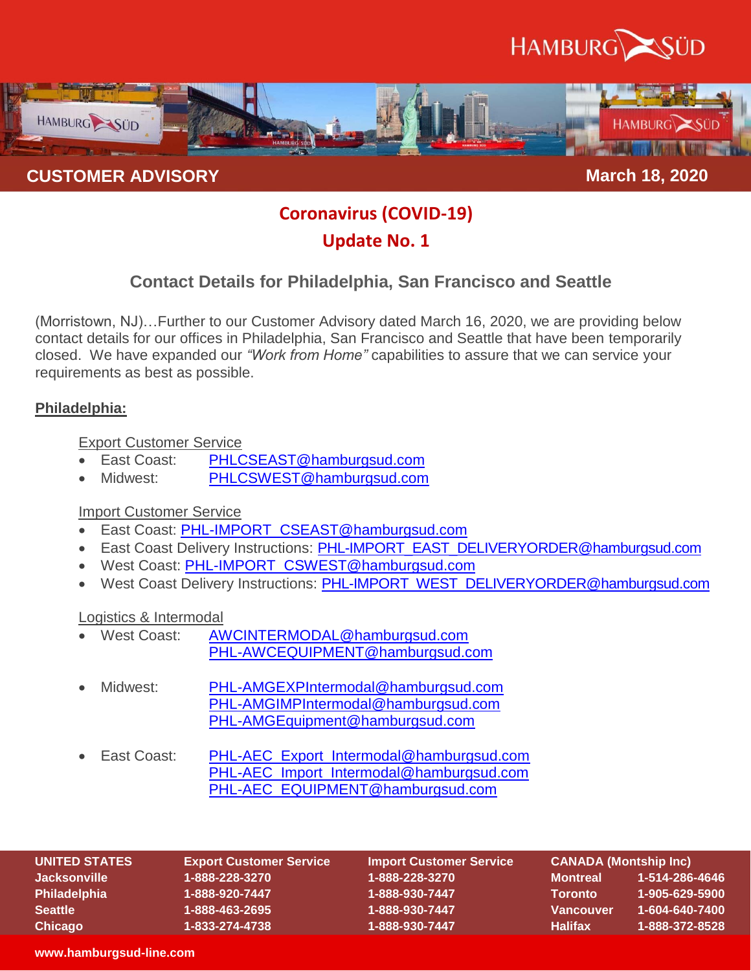



# **Coronavirus (COVID-19)**

# **Update No. 1**

# **Contact Details for Philadelphia, San Francisco and Seattle**

(Morristown, NJ)…Further to our Customer Advisory dated March 16, 2020, we are providing below contact details for our offices in Philadelphia, San Francisco and Seattle that have been temporarily closed. We have expanded our *"Work from Home"* capabilities to assure that we can service your requirements as best as possible.

## **Philadelphia:**

Export Customer Service

- East Coast: [PHLCSEAST@hamburgsud.com](mailto:PHLCSEAST@hamburgsud.com)
- Midwest: [PHLCSWEST@hamburgsud.com](mailto:PHLCSWEST@hamburgsud.com)

## Import Customer Service

- **East Coast: [PHL-IMPORT\\_CSEAST@hamburgsud.com](mailto:PHL-IMPORT_CSEAST@hamburgsud.com)**
- East Coast Delivery Instructions: [PHL-IMPORT\\_EAST\\_DELIVERYORDER@hamburgsud.com](mailto:PHL-IMPORT_EAST_DELIVERYORDER@hamburgsud.com)
- West Coast: [PHL-IMPORT\\_CSWEST@hamburgsud.com](mailto:PHL-IMPORT_CSWEST@hamburgsud.com)
- West Coast Delivery Instructions: [PHL-IMPORT\\_WEST\\_DELIVERYORDER@hamburgsud.com](mailto:PHL-IMPORT_WEST_DELIVERYORDER@hamburgsud.com)

## Logistics & Intermodal

- West Coast: [AWCINTERMODAL@hamburgsud.com](mailto:AWCINTERMODAL@hamburgsud.com) [PHL-AWCEQUIPMENT@hamburgsud.com](mailto:PHL-AWCEQUIPMENT@hamburgsud.com)
- Midwest: [PHL-AMGEXPIntermodal@hamburgsud.com](mailto:PHL-AMGEXPIntermodal@hamburgsud.com) [PHL-AMGIMPIntermodal@hamburgsud.com](mailto:PHL-AMGIMPIntermodal@hamburgsud.com) [PHL-AMGEquipment@hamburgsud.com](mailto:PHL-AMGEquipment@hamburgsud.com)
- East Coast: [PHL-AEC\\_Export\\_Intermodal@hamburgsud.com](mailto:PHL-AEC_Export_Intermodal@hamburgsud.com) [PHL-AEC\\_Import\\_Intermodal@hamburgsud.com](mailto:PHL-AEC_Import_Intermodal@hamburgsud.com) [PHL-AEC\\_EQUIPMENT@hamburgsud.com](mailto:PHL-AEC_EQUIPMENT@hamburgsud.com)

| UNITED STATES       | <b>Export Customer Service</b> | <b>Import Customer Service</b> | 「CANADA (Montship Inc)」 |                |
|---------------------|--------------------------------|--------------------------------|-------------------------|----------------|
| <b>Jacksonville</b> | 1-888-228-3270                 | 1-888-228-3270                 | <b>Montreal</b>         | 1-514-286-4646 |
| <b>Philadelphia</b> | 1-888-920-7447                 | 1-888-930-7447                 | <b>Toronto</b>          | 1-905-629-5900 |
| <b>Seattle</b>      | 1-888-463-2695                 | 1-888-930-7447                 | <b>Vancouver</b>        | 1-604-640-7400 |
| <b>Chicago</b>      | 1-833-274-4738                 | 1-888-930-7447                 | <b>Halifax</b>          | 1-888-372-8528 |

#### **www.hamburgsud-line.com**